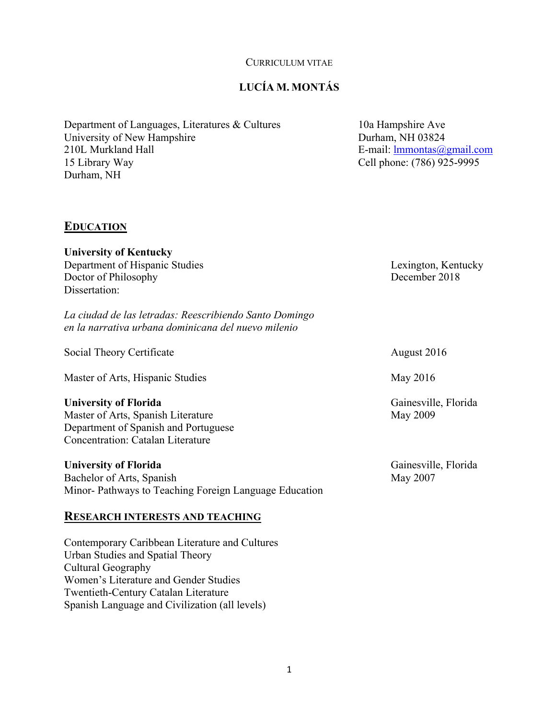#### CURRICULUM VITAE

# **LUCÍA M. MONTÁS**

Department of Languages, Literatures & Cultures 10a Hampshire Ave University of New Hampshire Durham, NH 03824 210L Murkland Hall E-mail: lmmontas@gmail.com 15 Library Way Cell phone: (786) 925-9995 Durham, NH

### **EDUCATION**

**University of Kentucky** Department of Hispanic Studies **Lexington**, Kentucky Doctor of Philosophy December 2018 Dissertation:

*La ciudad de las letradas: Reescribiendo Santo Domingo en la narrativa urbana dominicana del nuevo milenio*

Social Theory Certificate August 2016

Master of Arts, Hispanic Studies May 2016

#### **University of Florida** Gainesville, Florida

Master of Arts, Spanish Literature May 2009 Department of Spanish and Portuguese Concentration: Catalan Literature

### **University of Florida** Gainesville, Florida

Bachelor of Arts, Spanish May 2007 Minor- Pathways to Teaching Foreign Language Education

# **RESEARCH INTERESTS AND TEACHING**

Contemporary Caribbean Literature and Cultures Urban Studies and Spatial Theory Cultural Geography Women's Literature and Gender Studies Twentieth-Century Catalan Literature Spanish Language and Civilization (all levels)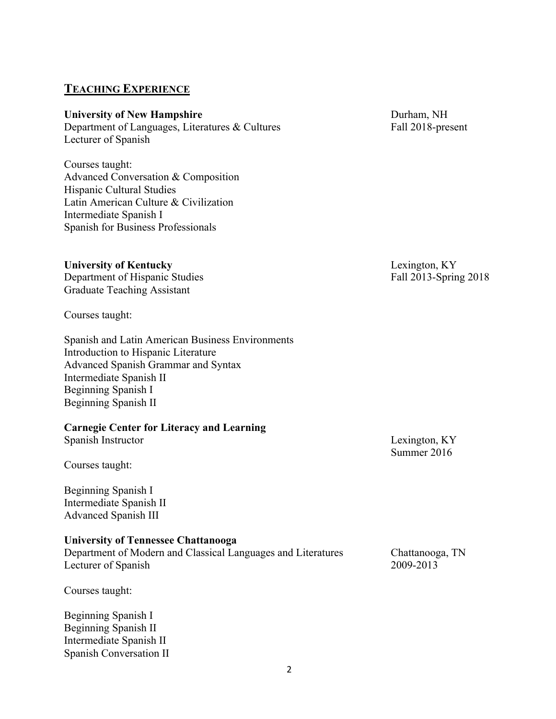# **TEACHING EXPERIENCE**

#### **University of New Hampshire** Durham, NH

Department of Languages, Literatures & Cultures Fall 2018-present Lecturer of Spanish

Courses taught: Advanced Conversation & Composition Hispanic Cultural Studies Latin American Culture & Civilization Intermediate Spanish I Spanish for Business Professionals

### **University of Kentucky** Lexington, KY

Department of Hispanic Studies Fall 2013-Spring 2018 Graduate Teaching Assistant

Courses taught:

Spanish and Latin American Business Environments Introduction to Hispanic Literature Advanced Spanish Grammar and Syntax Intermediate Spanish II Beginning Spanish I Beginning Spanish II

#### **Carnegie Center for Literacy and Learning**

Spanish Instructor Lexington, KY

Courses taught:

Beginning Spanish I Intermediate Spanish II Advanced Spanish III

### **University of Tennessee Chattanooga**

Department of Modern and Classical Languages and Literatures Chattanooga, TN Lecturer of Spanish 2009-2013

Courses taught:

Beginning Spanish I Beginning Spanish II Intermediate Spanish II Spanish Conversation II

Summer 2016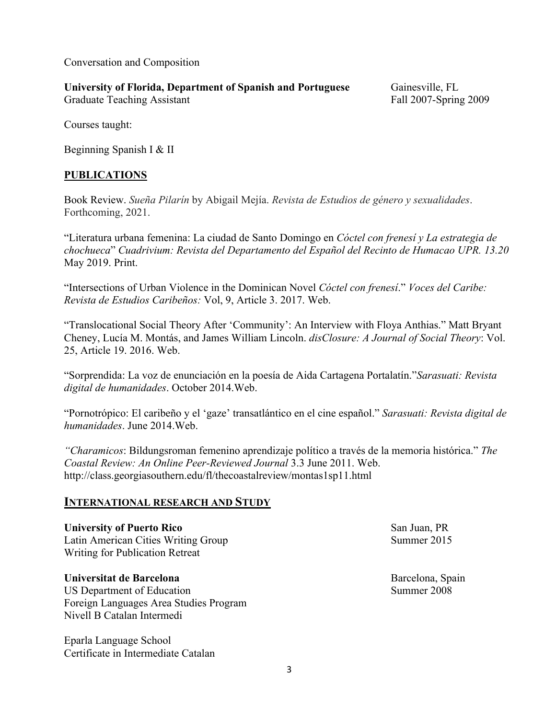Conversation and Composition

# **University of Florida, Department of Spanish and Portuguese** Gainesville, FL

Graduate Teaching Assistant Fall 2007-Spring 2009

Courses taught:

Beginning Spanish I & II

# **PUBLICATIONS**

Book Review. *Sueña Pilarín* by Abigail Mejía. *Revista de Estudios de género y sexualidades*. Forthcoming, 2021.

"Literatura urbana femenina: La ciudad de Santo Domingo en *Cóctel con frenesí y La estrategia de chochueca*" *Cuadrivium: Revista del Departamento del Español del Recinto de Humacao UPR. 13.20*  May 2019. Print.

"Intersections of Urban Violence in the Dominican Novel *Cóctel con frenesí*." *Voces del Caribe: Revista de Estudios Caribeños:* Vol, 9, Article 3. 2017. Web.

"Translocational Social Theory After 'Community': An Interview with Floya Anthias." Matt Bryant Cheney, Lucía M. Montás, and James William Lincoln. *disClosure: A Journal of Social Theory*: Vol. 25, Article 19. 2016. Web.

"Sorprendida: La voz de enunciación en la poesía de Aida Cartagena Portalatín."*Sarasuati: Revista digital de humanidades*. October 2014.Web.

"Pornotrópico: El caribeño y el 'gaze' transatlántico en el cine español." *Sarasuati: Revista digital de humanidades*. June 2014.Web.

*"Charamicos*: Bildungsroman femenino aprendizaje político a través de la memoria histórica." *The Coastal Review: An Online Peer-Reviewed Journal* 3.3 June 2011. Web. http://class.georgiasouthern.edu/fl/thecoastalreview/montas1sp11.html

# **INTERNATIONAL RESEARCH AND STUDY**

**University of Puerto Rico** San Juan, PR Latin American Cities Writing Group Summer 2015 Writing for Publication Retreat

# **Universitat de Barcelona Barcelona Barcelona**, Spain

US Department of Education Summer 2008 Foreign Languages Area Studies Program Nivell B Catalan Intermedi

Eparla Language School Certificate in Intermediate Catalan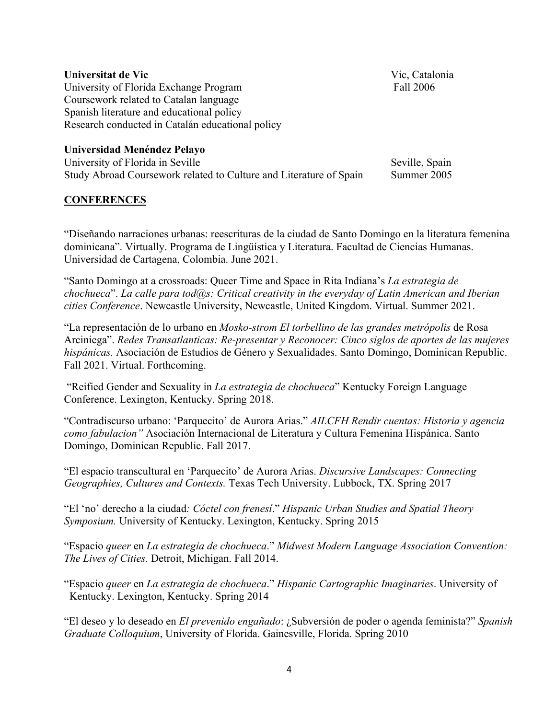#### **Universitat de Vic** Vic, Catalonia

University of Florida Exchange Program Fall 2006 Coursework related to Catalan language Spanish literature and educational policy Research conducted in Catalán educational policy

### **Universidad Menéndez Pelayo**

University of Florida in Seville Seville Seville, Spain Study Abroad Coursework related to Culture and Literature of Spain Summer 2005

#### **CONFERENCES**

"Diseñando narraciones urbanas: reescrituras de la ciudad de Santo Domingo en la literatura femenina dominicana". Virtually. Programa de Lingüística y Literatura. Facultad de Ciencias Humanas. Universidad de Cartagena, Colombia. June 2021.

"Santo Domingo at a crossroads: Queer Time and Space in Rita Indiana's *La estrategia de chochueca*". *La calle para tod@s: Critical creativity in the everyday of Latin American and Iberian cities Conference*. Newcastle University, Newcastle, United Kingdom. Virtual. Summer 2021.

"La representación de lo urbano en *Mosko-strom El torbellino de las grandes metrópolis* de Rosa Arciniega". *Redes Transatlanticas: Re-presentar y Reconocer: Cinco siglos de aportes de las mujeres hispánicas.* Asociación de Estudios de Género y Sexualidades. Santo Domingo, Dominican Republic. Fall 2021. Virtual. Forthcoming.

"Reified Gender and Sexuality in *La estrategia de chochueca*" Kentucky Foreign Language Conference. Lexington, Kentucky. Spring 2018.

"Contradiscurso urbano: 'Parquecito' de Aurora Arias." *AILCFH Rendir cuentas: Historia y agencia como fabulacion"* Asociación Internacional de Literatura y Cultura Femenina Hispánica. Santo Domingo, Dominican Republic. Fall 2017.

"El espacio transcultural en 'Parquecito' de Aurora Arias. *Discursive Landscapes: Connecting Geographies, Cultures and Contexts.* Texas Tech University. Lubbock, TX. Spring 2017

"El 'no' derecho a la ciudad*: Cóctel con frenesí*." *Hispanic Urban Studies and Spatial Theory Symposium.* University of Kentucky. Lexington, Kentucky. Spring 2015

"Espacio *queer* en *La estrategia de chochueca*." *Midwest Modern Language Association Convention: The Lives of Cities.* Detroit, Michigan. Fall 2014.

"Espacio *queer* en *La estrategia de chochueca*." *Hispanic Cartographic Imaginaries*. University of Kentucky. Lexington, Kentucky. Spring 2014

"El deseo y lo deseado en *El prevenido engañado*: ¿Subversión de poder o agenda feminista?" *Spanish Graduate Colloquium*, University of Florida. Gainesville, Florida. Spring 2010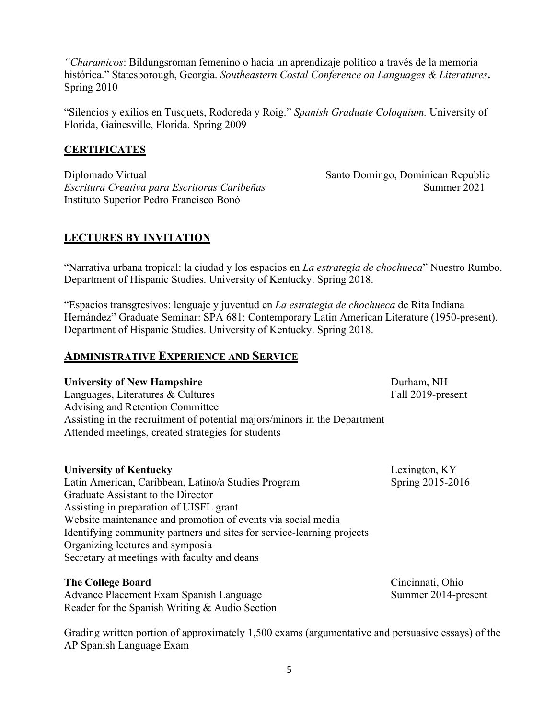*"Charamicos*: Bildungsroman femenino o hacia un aprendizaje político a través de la memoria histórica." Statesborough, Georgia. *Southeastern Costal Conference on Languages & Literatures***.**  Spring 2010

"Silencios y exilios en Tusquets, Rodoreda y Roig." *Spanish Graduate Coloquium.* University of Florida, Gainesville, Florida. Spring 2009

### **CERTIFICATES**

Diplomado Virtual Santo Domingo, Dominican Republic *Escritura Creativa para Escritoras Caribeñas* Summer 2021 Instituto Superior Pedro Francisco Bonó

# **LECTURES BY INVITATION**

"Narrativa urbana tropical: la ciudad y los espacios en *La estrategia de chochueca*" Nuestro Rumbo. Department of Hispanic Studies. University of Kentucky. Spring 2018.

"Espacios transgresivos: lenguaje y juventud en *La estrategia de chochueca* de Rita Indiana Hernández" Graduate Seminar: SPA 681: Contemporary Latin American Literature (1950-present). Department of Hispanic Studies. University of Kentucky. Spring 2018.

### **ADMINISTRATIVE EXPERIENCE AND SERVICE**

**University of New Hampshire** Durham, NH Languages, Literatures & Cultures Fall 2019-present Advising and Retention Committee Assisting in the recruitment of potential majors/minors in the Department Attended meetings, created strategies for students

### **University of Kentucky** Lexington, KY

Latin American, Caribbean, Latino/a Studies Program Spring 2015-2016 Graduate Assistant to the Director Assisting in preparation of UISFL grant Website maintenance and promotion of events via social media Identifying community partners and sites for service-learning projects Organizing lectures and symposia Secretary at meetings with faculty and deans

### **The College Board** Cincinnati, Ohio

Advance Placement Exam Spanish Language Summer 2014-present Reader for the Spanish Writing & Audio Section

Grading written portion of approximately 1,500 exams (argumentative and persuasive essays) of the AP Spanish Language Exam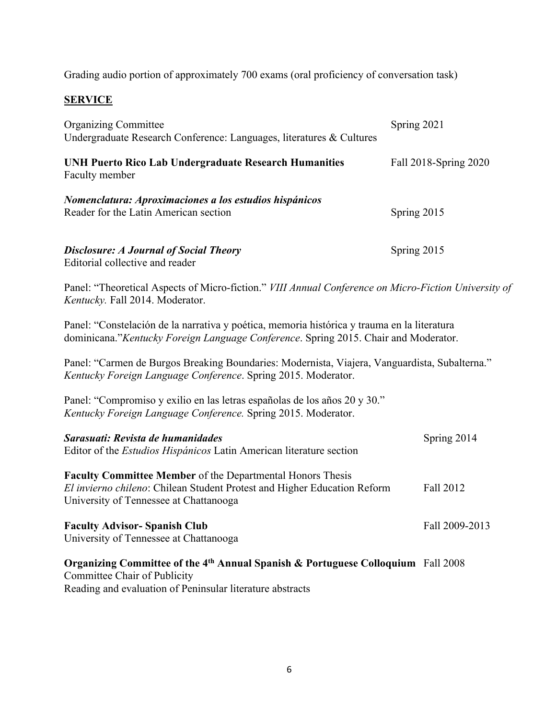Grading audio portion of approximately 700 exams (oral proficiency of conversation task)

# **SERVICE**

| <b>Organizing Committee</b><br>Undergraduate Research Conference: Languages, literatures & Cultures | Spring 2021           |
|-----------------------------------------------------------------------------------------------------|-----------------------|
| UNH Puerto Rico Lab Undergraduate Research Humanities<br>Faculty member                             | Fall 2018-Spring 2020 |
| Nomenclatura: Aproximaciones a los estudios hispánicos<br>Reader for the Latin American section     | Spring 2015           |
| <b>Disclosure: A Journal of Social Theory</b><br>Editorial collective and reader                    | Spring 2015           |

Panel: "Theoretical Aspects of Micro-fiction." *VIII Annual Conference on Micro-Fiction University of Kentucky.* Fall 2014. Moderator.

Panel: "Constelación de la narrativa y poética, memoria histórica y trauma en la literatura dominicana."*Kentucky Foreign Language Conference*. Spring 2015. Chair and Moderator.

Panel: "Carmen de Burgos Breaking Boundaries: Modernista, Viajera, Vanguardista, Subalterna." *Kentucky Foreign Language Conference*. Spring 2015. Moderator.

Panel: "Compromiso y exilio en las letras españolas de los años 20 y 30." *Kentucky Foreign Language Conference.* Spring 2015. Moderator.

| Sarasuati: Revista de humanidades<br>Editor of the <i>Estudios Hispánicos</i> Latin American literature section    | Spring 2014    |
|--------------------------------------------------------------------------------------------------------------------|----------------|
| <b>Faculty Committee Member of the Departmental Honors Thesis</b>                                                  |                |
| El invierno chileno: Chilean Student Protest and Higher Education Reform<br>University of Tennessee at Chattanooga | Fall 2012      |
| <b>Faculty Advisor- Spanish Club</b><br>University of Tennessee at Chattanooga                                     | Fall 2009-2013 |
| Organizing Committee of the 4 <sup>th</sup> Annual Spanish & Portuguese Colloquium Fall 2008                       |                |

Committee Chair of Publicity Reading and evaluation of Peninsular literature abstracts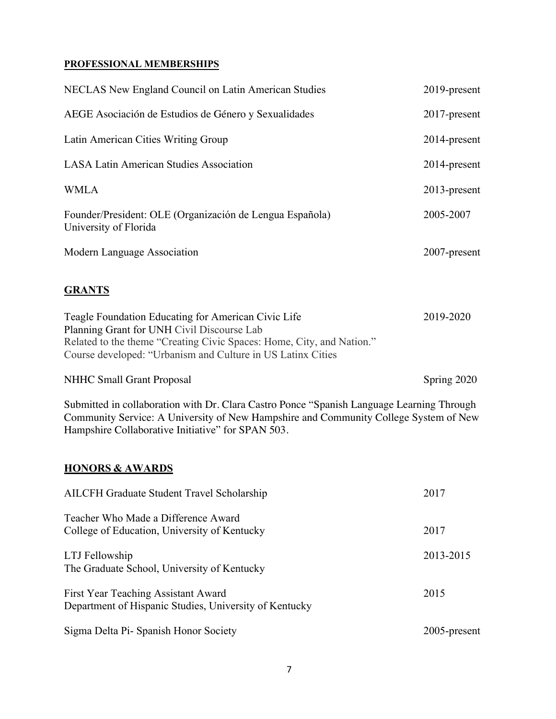### **PROFESSIONAL MEMBERSHIPS**

| NECLAS New England Council on Latin American Studies                              | 2019-present    |
|-----------------------------------------------------------------------------------|-----------------|
| AEGE Asociación de Estudios de Género y Sexualidades                              | $2017$ -present |
| Latin American Cities Writing Group                                               | 2014-present    |
| <b>LASA Latin American Studies Association</b>                                    | 2014-present    |
| <b>WMLA</b>                                                                       | $2013$ -present |
| Founder/President: OLE (Organización de Lengua Española)<br>University of Florida | 2005-2007       |
| Modern Language Association                                                       | $2007$ -present |

# **GRANTS**

| Teagle Foundation Educating for American Civic Life                   | 2019-2020 |
|-----------------------------------------------------------------------|-----------|
| Planning Grant for UNH Civil Discourse Lab                            |           |
| Related to the theme "Creating Civic Spaces: Home, City, and Nation." |           |
| Course developed: "Urbanism and Culture in US Latinx Cities"          |           |

NHHC Small Grant Proposal Spring 2020

Submitted in collaboration with Dr. Clara Castro Ponce "Spanish Language Learning Through Community Service: A University of New Hampshire and Community College System of New Hampshire Collaborative Initiative" for SPAN 503.

# **HONORS & AWARDS**

| AILCFH Graduate Student Travel Scholarship                                                    | 2017         |
|-----------------------------------------------------------------------------------------------|--------------|
| Teacher Who Made a Difference Award<br>College of Education, University of Kentucky           | 2017         |
| LTJ Fellowship<br>The Graduate School, University of Kentucky                                 | 2013-2015    |
| First Year Teaching Assistant Award<br>Department of Hispanic Studies, University of Kentucky | 2015         |
| Sigma Delta Pi- Spanish Honor Society                                                         | 2005-present |